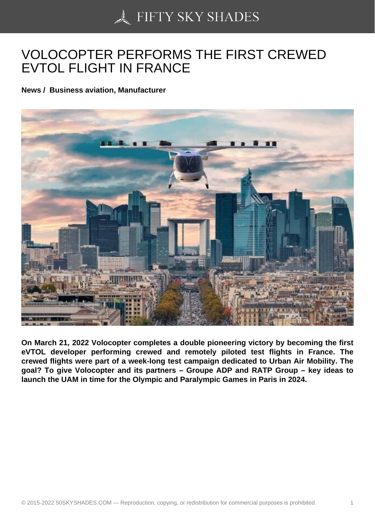## [VOLOCOPTER PERFO](https://50skyshades.com)RMS THE FIRST CREWED EVTOL FLIGHT IN FRANCE

News / Business aviation, Manufacturer

On March 21, 2022 Volocopter completes a double pioneering victory by becoming the first eVTOL developer performing crewed and remotely piloted test flights in France. The crewed flights were part of a week-long test campaign dedicated to Urban Air Mobility. The goal? To give Volocopter and its partners – Groupe ADP and RATP Group – key ideas to launch the UAM in time for the Olympic and Paralympic Games in Paris in 2024.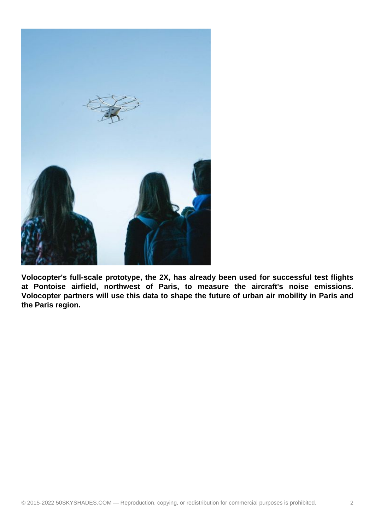

**Volocopter's full-scale prototype, the 2X, has already been used for successful test flights at Pontoise airfield, northwest of Paris, to measure the aircraft's noise emissions. Volocopter partners will use this data to shape the future of urban air mobility in Paris and the Paris region.**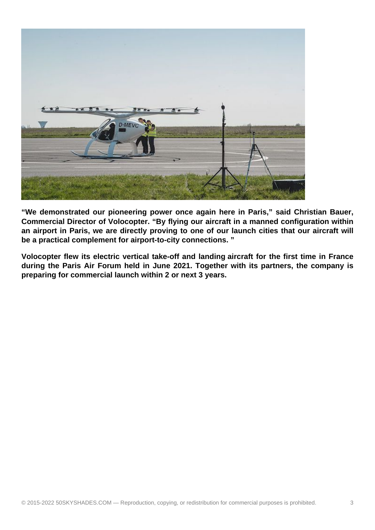

**"We demonstrated our pioneering power once again here in Paris," said Christian Bauer, Commercial Director of Volocopter. "By flying our aircraft in a manned configuration within an airport in Paris, we are directly proving to one of our launch cities that our aircraft will be a practical complement for airport-to-city connections. "**

**Volocopter flew its electric vertical take-off and landing aircraft for the first time in France during the Paris Air Forum held in June 2021. Together with its partners, the company is preparing for commercial launch within 2 or next 3 years.**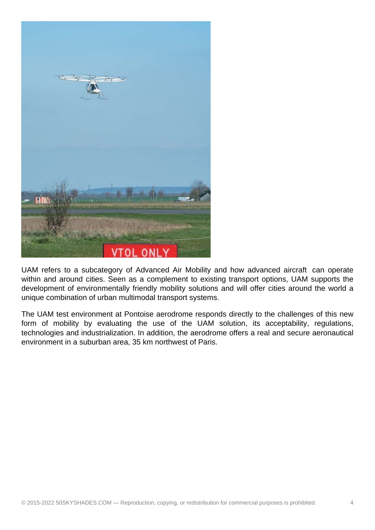

UAM refers to a subcategory of Advanced Air Mobility and how advanced aircraft can operate within and around cities. Seen as a complement to existing transport options, UAM supports the development of environmentally friendly mobility solutions and will offer cities around the world a unique combination of urban multimodal transport systems.

The UAM test environment at Pontoise aerodrome responds directly to the challenges of this new form of mobility by evaluating the use of the UAM solution, its acceptability, regulations, technologies and industrialization. In addition, the aerodrome offers a real and secure aeronautical environment in a suburban area, 35 km northwest of Paris.